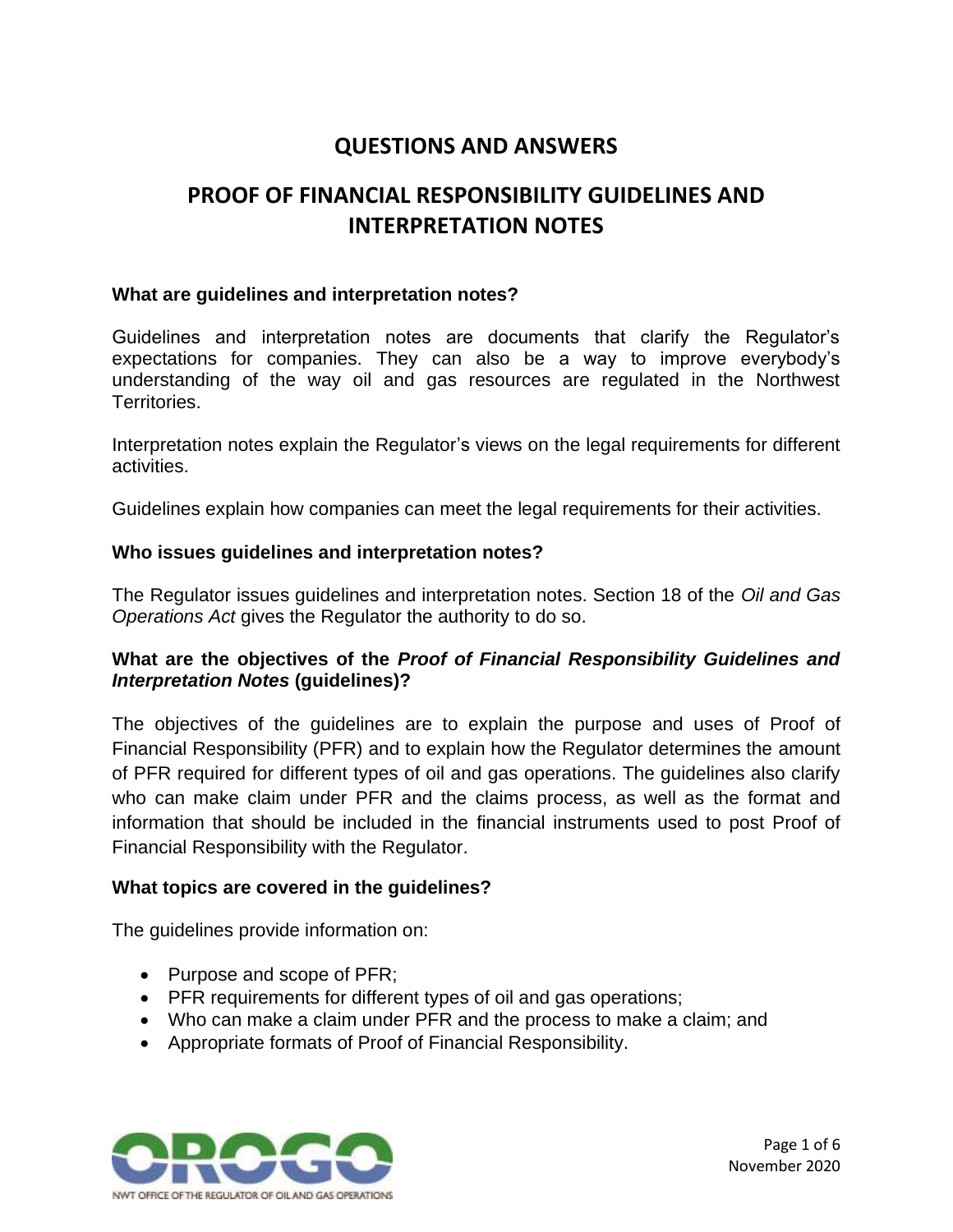# **QUESTIONS AND ANSWERS**

# **PROOF OF FINANCIAL RESPONSIBILITY GUIDELINES AND INTERPRETATION NOTES**

#### **What are guidelines and interpretation notes?**

Guidelines and interpretation notes are documents that clarify the Regulator's expectations for companies. They can also be a way to improve everybody's understanding of the way oil and gas resources are regulated in the Northwest Territories.

Interpretation notes explain the Regulator's views on the legal requirements for different activities.

Guidelines explain how companies can meet the legal requirements for their activities.

#### **Who issues guidelines and interpretation notes?**

The Regulator issues guidelines and interpretation notes. Section 18 of the *Oil and Gas Operations Act* gives the Regulator the authority to do so.

### **What are the objectives of the** *Proof of Financial Responsibility Guidelines and Interpretation Notes* **(guidelines)?**

The objectives of the guidelines are to explain the purpose and uses of Proof of Financial Responsibility (PFR) and to explain how the Regulator determines the amount of PFR required for different types of oil and gas operations. The guidelines also clarify who can make claim under PFR and the claims process, as well as the format and information that should be included in the financial instruments used to post Proof of Financial Responsibility with the Regulator.

#### **What topics are covered in the guidelines?**

The guidelines provide information on:

- Purpose and scope of PFR;
- PFR requirements for different types of oil and gas operations;
- Who can make a claim under PFR and the process to make a claim; and
- Appropriate formats of Proof of Financial Responsibility.

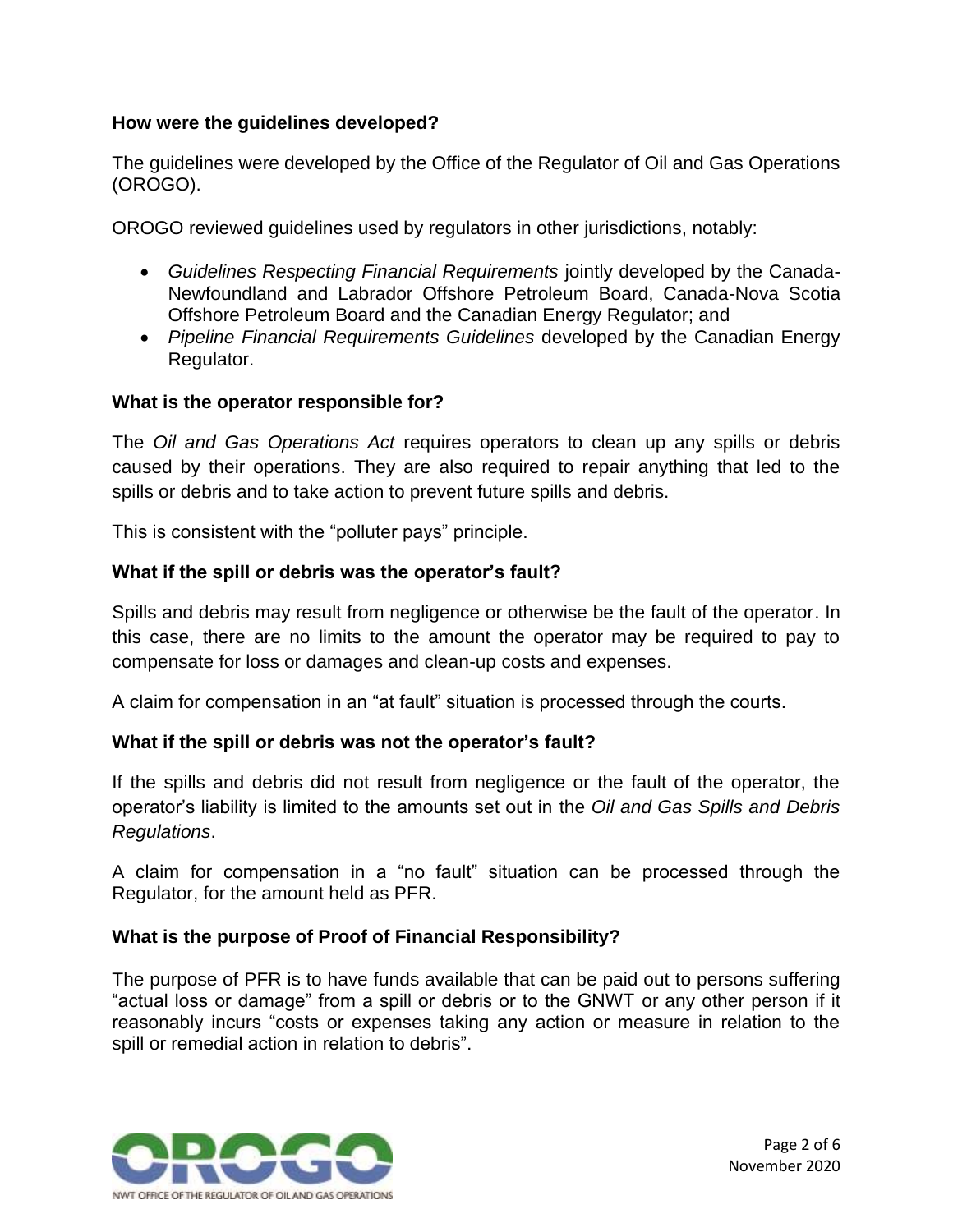### **How were the guidelines developed?**

The guidelines were developed by the Office of the Regulator of Oil and Gas Operations (OROGO).

OROGO reviewed guidelines used by regulators in other jurisdictions, notably:

- *Guidelines Respecting Financial Requirements* jointly developed by the Canada-Newfoundland and Labrador Offshore Petroleum Board, Canada-Nova Scotia Offshore Petroleum Board and the Canadian Energy Regulator; and
- *Pipeline Financial Requirements Guidelines* developed by the Canadian Energy Regulator.

### **What is the operator responsible for?**

The *Oil and Gas Operations Act* requires operators to clean up any spills or debris caused by their operations. They are also required to repair anything that led to the spills or debris and to take action to prevent future spills and debris.

This is consistent with the "polluter pays" principle.

### **What if the spill or debris was the operator's fault?**

Spills and debris may result from negligence or otherwise be the fault of the operator. In this case, there are no limits to the amount the operator may be required to pay to compensate for loss or damages and clean-up costs and expenses.

A claim for compensation in an "at fault" situation is processed through the courts.

### **What if the spill or debris was not the operator's fault?**

If the spills and debris did not result from negligence or the fault of the operator, the operator's liability is limited to the amounts set out in the *Oil and Gas Spills and Debris Regulations*.

A claim for compensation in a "no fault" situation can be processed through the Regulator, for the amount held as PFR.

### **What is the purpose of Proof of Financial Responsibility?**

The purpose of PFR is to have funds available that can be paid out to persons suffering "actual loss or damage" from a spill or debris or to the GNWT or any other person if it reasonably incurs "costs or expenses taking any action or measure in relation to the spill or remedial action in relation to debris".

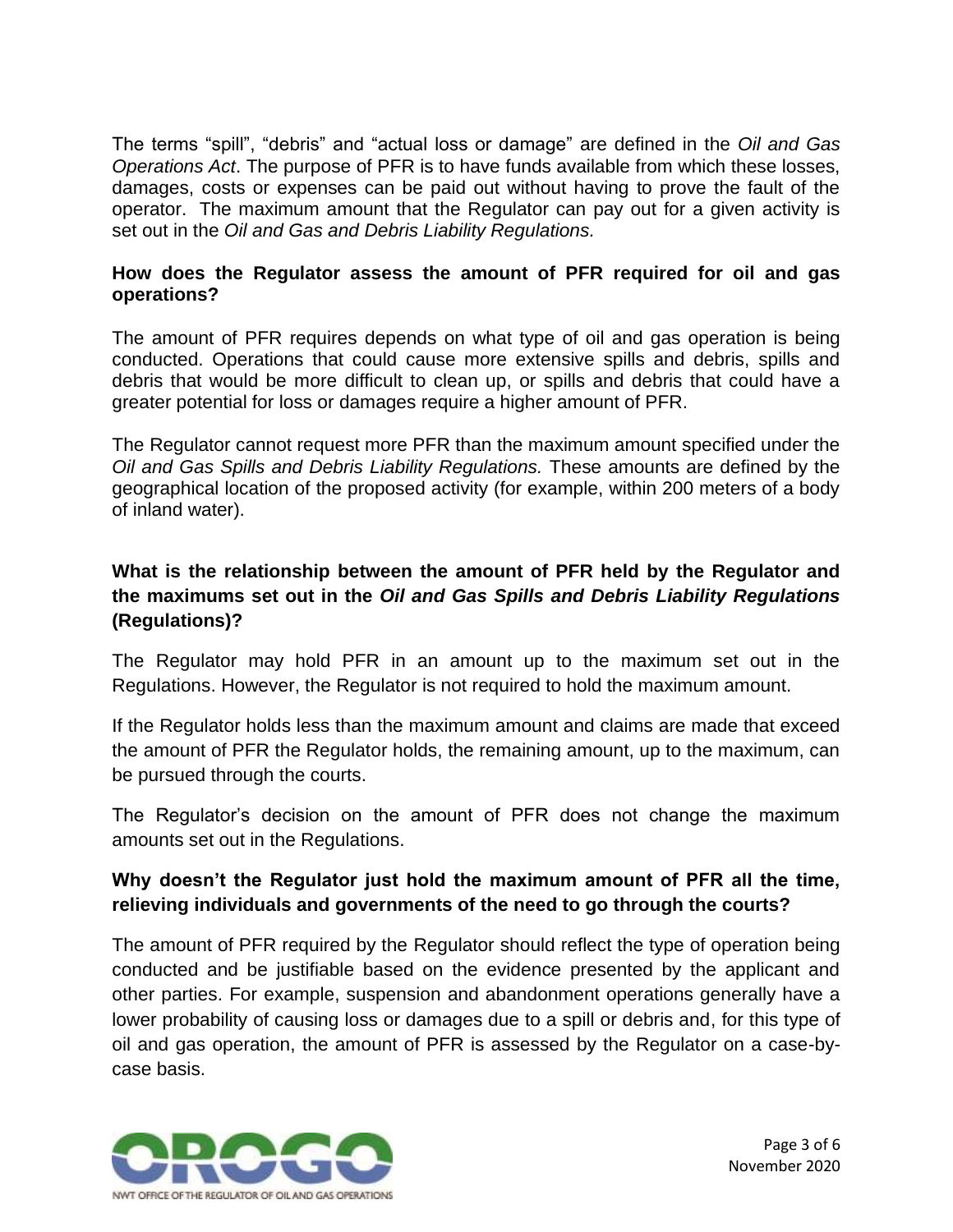The terms "spill", "debris" and "actual loss or damage" are defined in the *Oil and Gas Operations Act*. The purpose of PFR is to have funds available from which these losses, damages, costs or expenses can be paid out without having to prove the fault of the operator. The maximum amount that the Regulator can pay out for a given activity is set out in the *Oil and Gas and Debris Liability Regulations.*

### **How does the Regulator assess the amount of PFR required for oil and gas operations?**

The amount of PFR requires depends on what type of oil and gas operation is being conducted. Operations that could cause more extensive spills and debris, spills and debris that would be more difficult to clean up, or spills and debris that could have a greater potential for loss or damages require a higher amount of PFR.

The Regulator cannot request more PFR than the maximum amount specified under the *Oil and Gas Spills and Debris Liability Regulations.* These amounts are defined by the geographical location of the proposed activity (for example, within 200 meters of a body of inland water).

### **What is the relationship between the amount of PFR held by the Regulator and the maximums set out in the** *Oil and Gas Spills and Debris Liability Regulations* **(Regulations)?**

The Regulator may hold PFR in an amount up to the maximum set out in the Regulations. However, the Regulator is not required to hold the maximum amount.

If the Regulator holds less than the maximum amount and claims are made that exceed the amount of PFR the Regulator holds, the remaining amount, up to the maximum, can be pursued through the courts.

The Regulator's decision on the amount of PFR does not change the maximum amounts set out in the Regulations.

### **Why doesn't the Regulator just hold the maximum amount of PFR all the time, relieving individuals and governments of the need to go through the courts?**

The amount of PFR required by the Regulator should reflect the type of operation being conducted and be justifiable based on the evidence presented by the applicant and other parties. For example, suspension and abandonment operations generally have a lower probability of causing loss or damages due to a spill or debris and, for this type of oil and gas operation, the amount of PFR is assessed by the Regulator on a case-bycase basis.

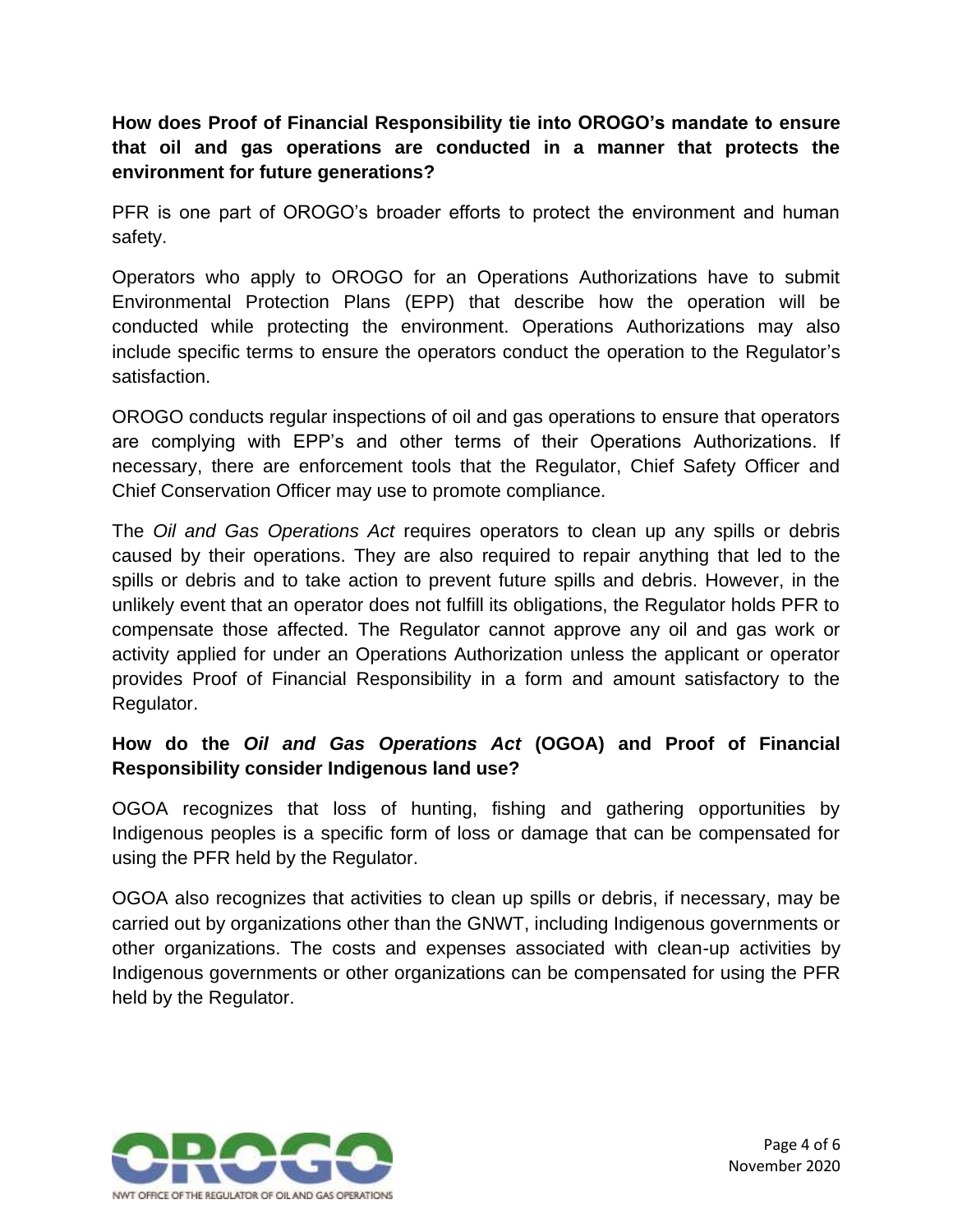**How does Proof of Financial Responsibility tie into OROGO's mandate to ensure that oil and gas operations are conducted in a manner that protects the environment for future generations?**

PFR is one part of OROGO's broader efforts to protect the environment and human safety.

Operators who apply to OROGO for an Operations Authorizations have to submit Environmental Protection Plans (EPP) that describe how the operation will be conducted while protecting the environment. Operations Authorizations may also include specific terms to ensure the operators conduct the operation to the Regulator's satisfaction.

OROGO conducts regular inspections of oil and gas operations to ensure that operators are complying with EPP's and other terms of their Operations Authorizations. If necessary, there are enforcement tools that the Regulator, Chief Safety Officer and Chief Conservation Officer may use to promote compliance.

The *Oil and Gas Operations Act* requires operators to clean up any spills or debris caused by their operations. They are also required to repair anything that led to the spills or debris and to take action to prevent future spills and debris. However, in the unlikely event that an operator does not fulfill its obligations, the Regulator holds PFR to compensate those affected. The Regulator cannot approve any oil and gas work or activity applied for under an Operations Authorization unless the applicant or operator provides Proof of Financial Responsibility in a form and amount satisfactory to the Regulator.

### **How do the** *Oil and Gas Operations Act* **(OGOA) and Proof of Financial Responsibility consider Indigenous land use?**

OGOA recognizes that loss of hunting, fishing and gathering opportunities by Indigenous peoples is a specific form of loss or damage that can be compensated for using the PFR held by the Regulator.

OGOA also recognizes that activities to clean up spills or debris, if necessary, may be carried out by organizations other than the GNWT, including Indigenous governments or other organizations. The costs and expenses associated with clean-up activities by Indigenous governments or other organizations can be compensated for using the PFR held by the Regulator.

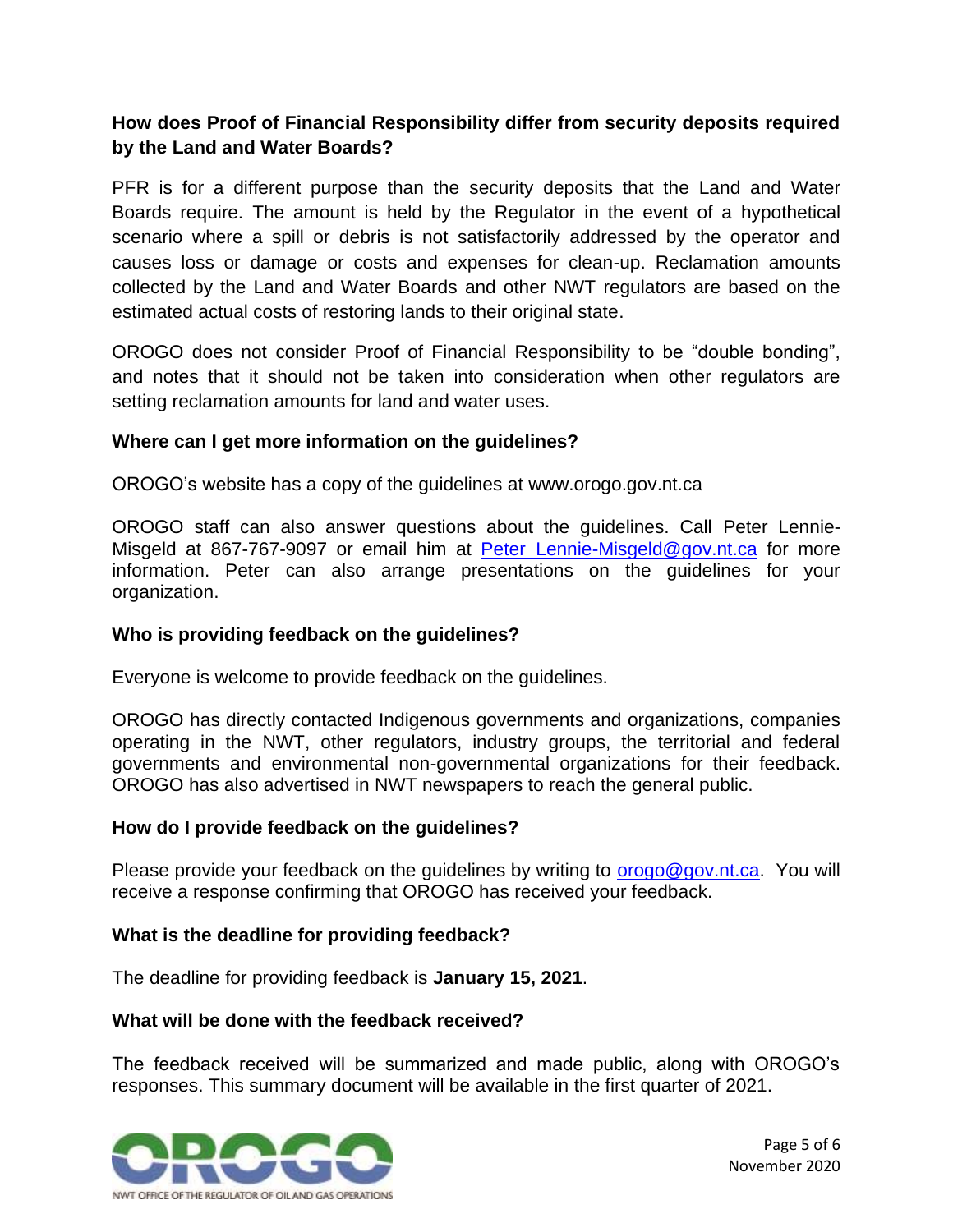### **How does Proof of Financial Responsibility differ from security deposits required by the Land and Water Boards?**

PFR is for a different purpose than the security deposits that the Land and Water Boards require. The amount is held by the Regulator in the event of a hypothetical scenario where a spill or debris is not satisfactorily addressed by the operator and causes loss or damage or costs and expenses for clean-up. Reclamation amounts collected by the Land and Water Boards and other NWT regulators are based on the estimated actual costs of restoring lands to their original state.

OROGO does not consider Proof of Financial Responsibility to be "double bonding", and notes that it should not be taken into consideration when other regulators are setting reclamation amounts for land and water uses.

### **Where can I get more information on the guidelines?**

OROGO's website has a copy of the guidelines at www.orogo.gov.nt.ca

OROGO staff can also answer questions about the guidelines. Call Peter Lennie-Misgeld at 867-767-9097 or email him at Peter Lennie-Misgeld@gov.nt.ca for more information. Peter can also arrange presentations on the guidelines for your organization.

### **Who is providing feedback on the guidelines?**

Everyone is welcome to provide feedback on the guidelines.

OROGO has directly contacted Indigenous governments and organizations, companies operating in the NWT, other regulators, industry groups, the territorial and federal governments and environmental non-governmental organizations for their feedback. OROGO has also advertised in NWT newspapers to reach the general public.

### **How do I provide feedback on the guidelines?**

Please provide your feedback on the guidelines by writing to  $\frac{or\,q\omega\omega}{\omega q\omega}$  and  $r\omega\omega$  will receive a response confirming that OROGO has received your feedback.

### **What is the deadline for providing feedback?**

The deadline for providing feedback is **January 15, 2021**.

### **What will be done with the feedback received?**

The feedback received will be summarized and made public, along with OROGO's responses. This summary document will be available in the first quarter of 2021.